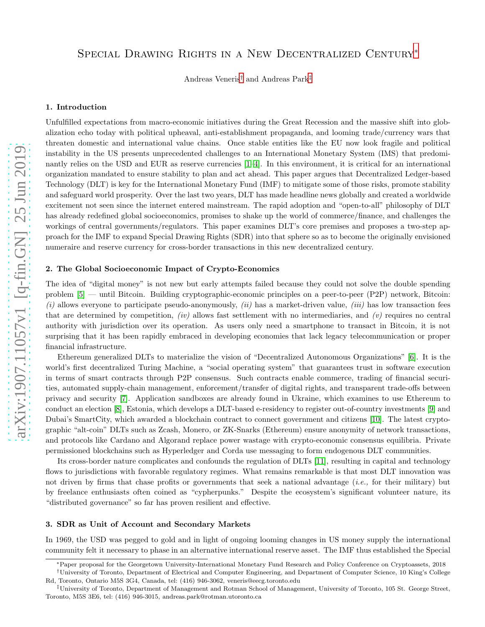## Special Drawing Rights in a New Decentralized Century[∗](#page-0-0)

Andreas Veneris[†](#page-0-1) and Andreas Park[‡](#page-0-2)

#### 1. Introduction

Unfulfilled expectations from macro-economic initiatives during the Great Recession and the massive shift into globalization echo today with political upheaval, anti-establishment propaganda, and looming trade/currency wars that threaten domestic and international value chains. Once stable entities like the EU now look fragile and political instability in the US presents unprecedented challenges to an International Monetary System (IMS) that predominantly relies on the USD and EUR as reserve currencies [\[1–](#page-2-0)[4\]](#page-2-1). In this environment, it is critical for an international organization mandated to ensure stability to plan and act ahead. This paper argues that Decentralized Ledger-based Technology (DLT) is key for the International Monetary Fund (IMF) to mitigate some of those risks, promote stability and safeguard world prosperity. Over the last two years, DLT has made headline news globally and created a worldwide excitement not seen since the internet entered mainstream. The rapid adoption and "open-to-all" philosophy of DLT has already redefined global socioeconomics, promises to shake up the world of commerce/finance, and challenges the workings of central governments/regulators. This paper examines DLT's core premises and proposes a two-step approach for the IMF to expand Special Drawing Rights (SDR) into that sphere so as to become the originally envisioned numeraire and reserve currency for cross-border transactions in this new decentralized century.

#### 2. The Global Socioeconomic Impact of Crypto-Economics

The idea of "digital money" is not new but early attempts failed because they could not solve the double spending problem [\[5\]](#page-2-2) — until Bitcoin. Building cryptographic-economic principles on a peer-to-peer (P2P) network, Bitcoin: (i) allows everyone to participate pseudo-anonymously, (ii) has a market-driven value, (iii) has low transaction fees that are determined by competition, *(iv)* allows fast settlement with no intermediaries, and *(v)* requires no central authority with jurisdiction over its operation. As users only need a smartphone to transact in Bitcoin, it is not surprising that it has been rapidly embraced in developing economies that lack legacy telecommunication or proper financial infrastructure.

Ethereum generalized DLTs to materialize the vision of "Decentralized Autonomous Organizations" [\[6\]](#page-2-3). It is the world's first decentralized Turing Machine, a "social operating system" that guarantees trust in software execution in terms of smart contracts through P2P consensus. Such contracts enable commerce, trading of financial securities, automated supply-chain management, enforcement/transfer of digital rights, and transparent trade-offs between privacy and security [\[7\]](#page-2-4). Application sandboxes are already found in Ukraine, which examines to use Ethereum to conduct an election [\[8\]](#page-2-5), Estonia, which develops a DLT-based e-residency to register out-of-country investments [\[9\]](#page-2-6) and Dubai's SmartCity, which awarded a blockchain contract to connect government and citizens [\[10\]](#page-2-7). The latest cryptographic "alt-coin" DLTs such as Zcash, Monero, or ZK-Snarks (Ethereum) ensure anonymity of network transactions, and protocols like Cardano and Algorand replace power wastage with crypto-economic consensus equilibria. Private permissioned blockchains such as Hyperledger and Corda use messaging to form endogenous DLT communities.

Its cross-border nature complicates and confounds the regulation of DLTs [\[11\]](#page-2-8), resulting in capital and technology flows to jurisdictions with favorable regulatory regimes. What remains remarkable is that most DLT innovation was not driven by firms that chase profits or governments that seek a national advantage (i.e., for their military) but by freelance enthusiasts often coined as "cypherpunks." Despite the ecosystem's significant volunteer nature, its "distributed governance" so far has proven resilient and effective.

#### 3. SDR as Unit of Account and Secondary Markets

In 1969, the USD was pegged to gold and in light of ongoing looming changes in US money supply the international community felt it necessary to phase in an alternative international reserve asset. The IMF thus established the Special

<span id="page-0-0"></span><sup>∗</sup>Paper proposal for the Georgetown University-International Monetary Fund Research and Policy Conference on Cryptoassets, 2018

<span id="page-0-1"></span><sup>†</sup>University of Toronto, Department of Electrical and Computer Engineering, and Department of Computer Science, 10 King's College Rd, Toronto, Ontario M5S 3G4, Canada, tel: (416) 946-3062, veneris@eecg.toronto.edu

<span id="page-0-2"></span><sup>‡</sup>University of Toronto, Department of Management and Rotman School of Management, University of Toronto, 105 St. George Street, Toronto, M5S 3E6, tel: (416) 946-3015, andreas.park@rotman.utoronto.ca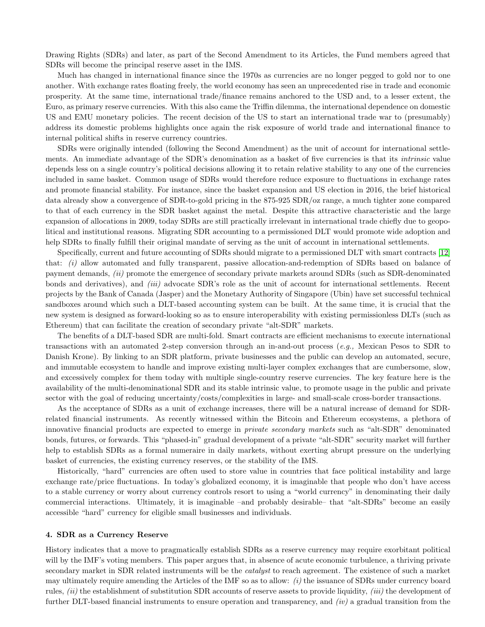Drawing Rights (SDRs) and later, as part of the Second Amendment to its Articles, the Fund members agreed that SDRs will become the principal reserve asset in the IMS.

Much has changed in international finance since the 1970s as currencies are no longer pegged to gold nor to one another. With exchange rates floating freely, the world economy has seen an unprecedented rise in trade and economic prosperity. At the same time, international trade/finance remains anchored to the USD and, to a lesser extent, the Euro, as primary reserve currencies. With this also came the Triffin dilemma, the international dependence on domestic US and EMU monetary policies. The recent decision of the US to start an international trade war to (presumably) address its domestic problems highlights once again the risk exposure of world trade and international finance to internal political shifts in reserve currency countries.

SDRs were originally intended (following the Second Amendment) as the unit of account for international settlements. An immediate advantage of the SDR's denomination as a basket of five currencies is that its *intrinsic* value depends less on a single country's political decisions allowing it to retain relative stability to any one of the currencies included in same basket. Common usage of SDRs would therefore reduce exposure to fluctuations in exchange rates and promote financial stability. For instance, since the basket expansion and US election in 2016, the brief historical data already show a convergence of SDR-to-gold pricing in the 875-925 SDR/oz range, a much tighter zone compared to that of each currency in the SDR basket against the metal. Despite this attractive characteristic and the large expansion of allocations in 2009, today SDRs are still practically irrelevant in international trade chiefly due to geopolitical and institutional reasons. Migrating SDR accounting to a permissioned DLT would promote wide adoption and help SDRs to finally fulfill their original mandate of serving as the unit of account in international settlements.

Specifically, current and future accounting of SDRs should migrate to a permissioned DLT with smart contracts [\[12\]](#page-2-9) that: *(i)* allow automated and fully transparent, passive allocation-and-redemption of SDRs based on balance of payment demands, (ii) promote the emergence of secondary private markets around SDRs (such as SDR-denominated bonds and derivatives), and *(iii)* advocate SDR's role as the unit of account for international settlements. Recent projects by the Bank of Canada (Jasper) and the Monetary Authority of Singapore (Ubin) have set successful technical sandboxes around which such a DLT-based accounting system can be built. At the same time, it is crucial that the new system is designed as forward-looking so as to ensure interoperability with existing permissionless DLTs (such as Ethereum) that can facilitate the creation of secondary private "alt-SDR" markets.

The benefits of a DLT-based SDR are multi-fold. Smart contracts are efficient mechanisms to execute international transactions with an automated 2-step conversion through an in-and-out process (e.g., Mexican Pesos to SDR to Danish Krone). By linking to an SDR platform, private businesses and the public can develop an automated, secure, and immutable ecosystem to handle and improve existing multi-layer complex exchanges that are cumbersome, slow, and excessively complex for them today with multiple single-country reserve currencies. The key feature here is the availability of the multi-denominational SDR and its stable intrinsic value, to promote usage in the public and private sector with the goal of reducing uncertainty/costs/complexities in large- and small-scale cross-border transactions.

As the acceptance of SDRs as a unit of exchange increases, there will be a natural increase of demand for SDRrelated financial instruments. As recently witnessed within the Bitcoin and Ethereum ecosystems, a plethora of innovative financial products are expected to emerge in private secondary markets such as "alt-SDR" denominated bonds, futures, or forwards. This "phased-in" gradual development of a private "alt-SDR" security market will further help to establish SDRs as a formal numeraire in daily markets, without exerting abrupt pressure on the underlying basket of currencies, the existing currency reserves, or the stability of the IMS.

Historically, "hard" currencies are often used to store value in countries that face political instability and large exchange rate/price fluctuations. In today's globalized economy, it is imaginable that people who don't have access to a stable currency or worry about currency controls resort to using a "world currency" in denominating their daily commercial interactions. Ultimately, it is imaginable –and probably desirable– that "alt-SDRs" become an easily accessible "hard" currency for eligible small businesses and individuals.

#### 4. SDR as a Currency Reserve

History indicates that a move to pragmatically establish SDRs as a reserve currency may require exorbitant political will by the IMF's voting members. This paper argues that, in absence of acute economic turbulence, a thriving private secondary market in SDR related instruments will be the *catalyst* to reach agreement. The existence of such a market may ultimately require amending the Articles of the IMF so as to allow:  $(i)$  the issuance of SDRs under currency board rules,  $(ii)$  the establishment of substitution SDR accounts of reserve assets to provide liquidity,  $(iii)$  the development of further DLT-based financial instruments to ensure operation and transparency, and  $(iv)$  a gradual transition from the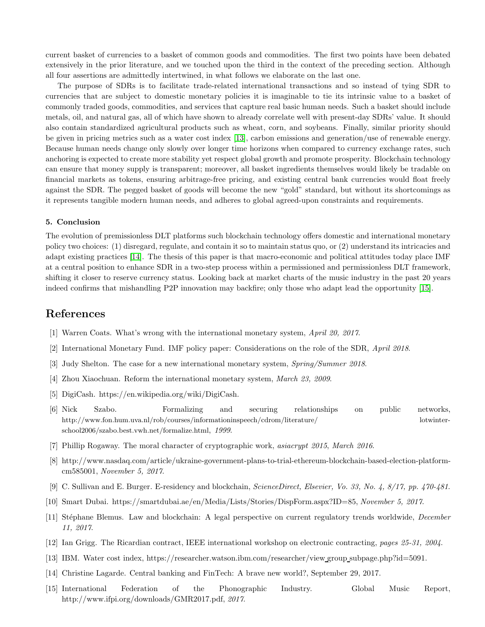current basket of currencies to a basket of common goods and commodities. The first two points have been debated extensively in the prior literature, and we touched upon the third in the context of the preceding section. Although all four assertions are admittedly intertwined, in what follows we elaborate on the last one.

The purpose of SDRs is to facilitate trade-related international transactions and so instead of tying SDR to currencies that are subject to domestic monetary policies it is imaginable to tie its intrinsic value to a basket of commonly traded goods, commodities, and services that capture real basic human needs. Such a basket should include metals, oil, and natural gas, all of which have shown to already correlate well with present-day SDRs' value. It should also contain standardized agricultural products such as wheat, corn, and soybeans. Finally, similar priority should be given in pricing metrics such as a water cost index [\[13\]](#page-2-10), carbon emissions and generation/use of renewable energy. Because human needs change only slowly over longer time horizons when compared to currency exchange rates, such anchoring is expected to create more stability yet respect global growth and promote prosperity. Blockchain technology can ensure that money supply is transparent; moreover, all basket ingredients themselves would likely be tradable on financial markets as tokens, ensuring arbitrage-free pricing, and existing central bank currencies would float freely against the SDR. The pegged basket of goods will become the new "gold" standard, but without its shortcomings as it represents tangible modern human needs, and adheres to global agreed-upon constraints and requirements.

### 5. Conclusion

The evolution of premissionless DLT platforms such blockchain technology offers domestic and international monetary policy two choices: (1) disregard, regulate, and contain it so to maintain status quo, or (2) understand its intricacies and adapt existing practices [\[14\]](#page-2-11). The thesis of this paper is that macro-economic and political attitudes today place IMF at a central position to enhance SDR in a two-step process within a permissioned and permissionless DLT framework, shifting it closer to reserve currency status. Looking back at market charts of the music industry in the past 20 years indeed confirms that mishandling P2P innovation may backfire; only those who adapt lead the opportunity [\[15\]](#page-2-12).

# <span id="page-2-0"></span>References

- [1] Warren Coats. What's wrong with the international monetary system, April 20, 2017.
- [2] International Monetary Fund. IMF policy paper: Considerations on the role of the SDR, April 2018.
- <span id="page-2-1"></span>[3] Judy Shelton. The case for a new international monetary system, Spring/Summer 2018.
- <span id="page-2-2"></span>[4] Zhou Xiaochuan. Reform the international monetary system, March 23, 2009.
- <span id="page-2-3"></span>[5] DigiCash. https://en.wikipedia.org/wiki/DigiCash.
- [6] Nick Szabo. Formalizing and securing relationships on public networks, http://www.fon.hum.uva.nl/rob/courses/informationinspeech/cdrom/literature/ lotwinterschool2006/szabo.best.vwh.net/formalize.html, 1999.
- <span id="page-2-5"></span><span id="page-2-4"></span>[7] Phillip Rogaway. The moral character of cryptographic work, asiacrypt 2015, March 2016.
- <span id="page-2-6"></span>[8] http://www.nasdaq.com/article/ukraine-government-plans-to-trial-ethereum-blockchain-based-election-platformcm585001, November 5, 2017.
- <span id="page-2-7"></span>[9] C. Sullivan and E. Burger. E-residency and blockchain, ScienceDirect, Elsevier, Vo. 33, No. 4, 8/17, pp. 470-481.
- <span id="page-2-8"></span>[10] Smart Dubai. https://smartdubai.ae/en/Media/Lists/Stories/DispForm.aspx?ID=85, November 5, 2017.
- [11] Stéphane Blemus. Law and blockchain: A legal perspective on current regulatory trends worldwide, *December* 11, 2017.
- <span id="page-2-10"></span><span id="page-2-9"></span>[12] Ian Grigg. The Ricardian contract, IEEE international workshop on electronic contracting, pages 25-31, 2004.
- <span id="page-2-11"></span>[13] IBM. Water cost index, https://researcher.watson.ibm.com/researcher/view group subpage.php?id=5091.
- <span id="page-2-12"></span>[14] Christine Lagarde. Central banking and FinTech: A brave new world?, September 29, 2017.
- [15] International Federation of the Phonographic Industry. Global Music Report, http://www.ifpi.org/downloads/GMR2017.pdf, 2017.